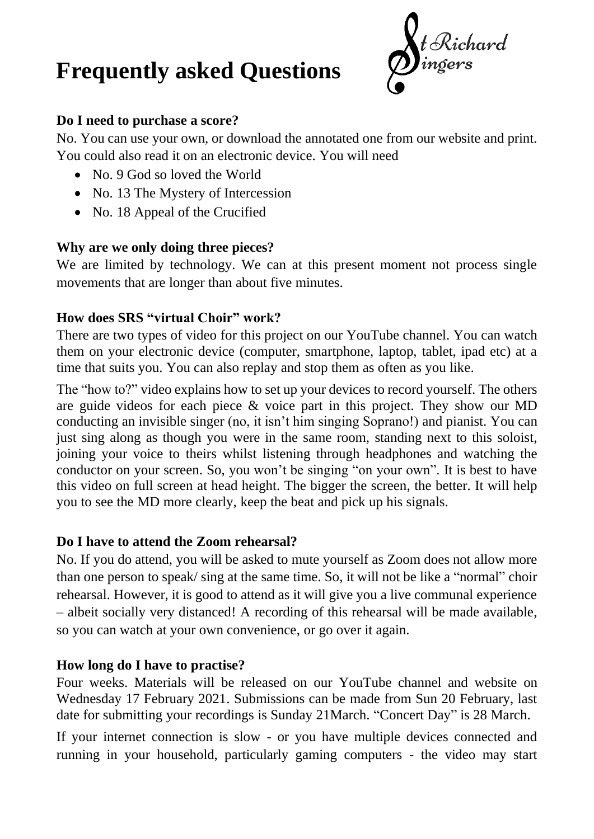# **Frequently asked Questions**

t Richard<br>ingers

#### **Do I need to purchase a score?**

No. You can use your own, or download the annotated one from our website and print. You could also read it on an electronic device. You will need

- No. 9 God so loved the World
- No. 13 The Mystery of Intercession
- No. 18 Appeal of the Crucified

## **Why are we only doing three pieces?**

We are limited by technology. We can at this present moment not process single movements that are longer than about five minutes.

### **How does SRS "virtual Choir" work?**

There are two types of video for this project on our YouTube channel. You can watch them on your electronic device (computer, smartphone, laptop, tablet, ipad etc) at a time that suits you. You can also replay and stop them as often as you like.

The "how to?" video explains how to set up your devices to record yourself. The others are guide videos for each piece & voice part in this project. They show our MD conducting an invisible singer (no, it isn't him singing Soprano!) and pianist. You can just sing along as though you were in the same room, standing next to this soloist, joining your voice to theirs whilst listening through headphones and watching the conductor on your screen. So, you won't be singing "on your own". It is best to have this video on full screen at head height. The bigger the screen, the better. It will help you to see the MD more clearly, keep the beat and pick up his signals.

### **Do I have to attend the Zoom rehearsal?**

No. If you do attend, you will be asked to mute yourself as Zoom does not allow more than one person to speak/ sing at the same time. So, it will not be like a "normal" choir rehearsal. However, it is good to attend as it will give you a live communal experience – albeit socially very distanced! A recording of this rehearsal will be made available, so you can watch at your own convenience, or go over it again.

### **How long do I have to practise?**

Four weeks. Materials will be released on our YouTube channel and website on Wednesday 17 February 2021. Submissions can be made from Sun 20 February, last date for submitting your recordings is Sunday 21March. "Concert Day" is 28 March.

If your internet connection is slow - or you have multiple devices connected and running in your household, particularly gaming computers - the video may start